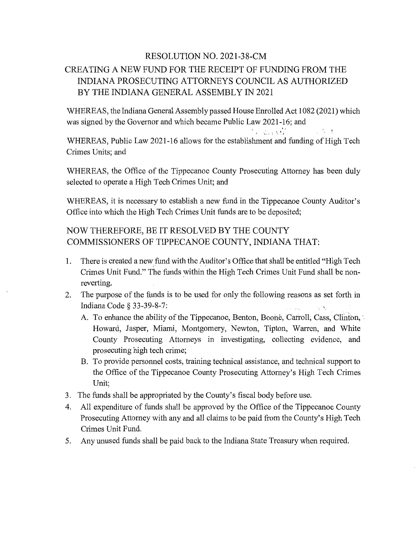## RESOLUTION NO. 2021-38-CM CREATING A NEW FUND FOR THE RECEIPT OF FUNDING FROM THE INDIANA PROSECUTING ATTORNEYS COUNCIL AS AUTHORIZED BY THE INDIANA GENERAL ASSEMBLY IN 2021

WHEREAS, the Indiana General Assembly passed House Enrolled Act 1082 (2021) which was signed by the Governor and which became Public Law 2021-16; and

小人才

*a* .X"" WHEREAS, Public Law 2021-16 allows for the establishment and funding of High Tech Crimes Units; and

WHEREAS, the Office of the Tippecanoe County Prosecuting Attorney has been duly selected to operate a High **Tech** Crimes Unit; and

WHEREAS, it is necessary to establish a new fund in the Tippecanoe County Auditor's Office into which the High Tech Crimes **Unit** funds are to be deposited;

## NOW THEREFORE, BE IT RESOLVED BY THE COUNTY COMMISSIONERS OF TIPPECANOE COUNTY, **INDIANA THAT:**

- 1. There 1s created a new fund with the Auditor's Office that shall be entitled **"High** Tech Crimes Unit Fund." The **funds** within the **High** Tech Crimes Unit Fund shall be nonreverting.
- 2. The purpose of the funds is to be used for only the following reasons as set forth in Indiana Code § 33- 39- 8- 7: *, \* '
	- A. To enhance the ability of the Tippecanoe, Benton, Boone, Carroll, Cass, Clinton, Howard, Jasper, Miami, Montgomery, Newton, Tipton, Warren, and White County Prosecuting Attorneys in investigating, collecting evidence, and prosecuting high **tech** crime;
	- B. To provide personnel costs, training technical assistance, and technical support to the Office of the Tippecanoe County Prosecuting Attorney's High Tech Crimes **Unit;**
- 3. The funds **shall** be appropriated by the County's fiscal body before use.
- 4. A11 expenditure of funds shall be approved by the Office of the Tippecanoe County Prosecuting Attorney with any and all claims to be paid from the County's High Tech Crimes Unit Fund.
- 5. Any unused **funds** shall be paid back to the Indiana State Treasury when required.